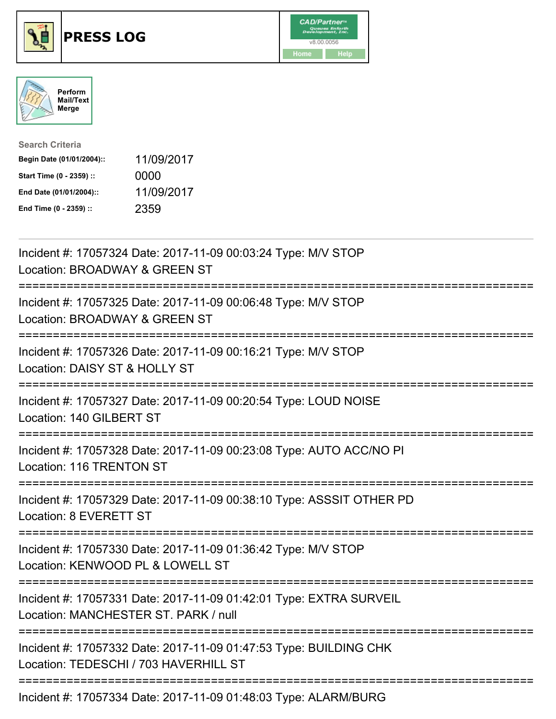





| <b>Search Criteria</b>    |            |
|---------------------------|------------|
| Begin Date (01/01/2004):: | 11/09/2017 |
| Start Time (0 - 2359) ::  | 0000       |
| End Date (01/01/2004)::   | 11/09/2017 |
| End Time (0 - 2359) ::    | 2359       |

| Incident #: 17057324 Date: 2017-11-09 00:03:24 Type: M/V STOP<br>Location: BROADWAY & GREEN ST                            |
|---------------------------------------------------------------------------------------------------------------------------|
| Incident #: 17057325 Date: 2017-11-09 00:06:48 Type: M/V STOP<br>Location: BROADWAY & GREEN ST                            |
| Incident #: 17057326 Date: 2017-11-09 00:16:21 Type: M/V STOP<br>Location: DAISY ST & HOLLY ST                            |
| Incident #: 17057327 Date: 2017-11-09 00:20:54 Type: LOUD NOISE<br>Location: 140 GILBERT ST                               |
| Incident #: 17057328 Date: 2017-11-09 00:23:08 Type: AUTO ACC/NO PI<br>Location: 116 TRENTON ST                           |
| Incident #: 17057329 Date: 2017-11-09 00:38:10 Type: ASSSIT OTHER PD<br>Location: 8 EVERETT ST                            |
| Incident #: 17057330 Date: 2017-11-09 01:36:42 Type: M/V STOP<br>Location: KENWOOD PL & LOWELL ST<br>==================== |
| Incident #: 17057331 Date: 2017-11-09 01:42:01 Type: EXTRA SURVEIL<br>Location: MANCHESTER ST. PARK / null                |
| Incident #: 17057332 Date: 2017-11-09 01:47:53 Type: BUILDING CHK<br>Location: TEDESCHI / 703 HAVERHILL ST                |
| $\frac{1}{2}$                                                                                                             |

Incident #: 17057334 Date: 2017-11-09 01:48:03 Type: ALARM/BURG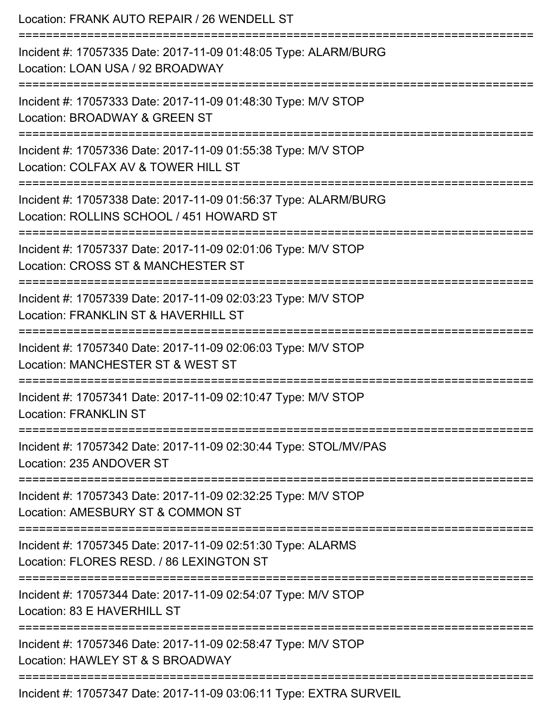| Location: FRANK AUTO REPAIR / 26 WENDELL ST                                                                                          |
|--------------------------------------------------------------------------------------------------------------------------------------|
| Incident #: 17057335 Date: 2017-11-09 01:48:05 Type: ALARM/BURG<br>Location: LOAN USA / 92 BROADWAY                                  |
| :=====================<br>Incident #: 17057333 Date: 2017-11-09 01:48:30 Type: M/V STOP<br>Location: BROADWAY & GREEN ST             |
| Incident #: 17057336 Date: 2017-11-09 01:55:38 Type: M/V STOP<br>Location: COLFAX AV & TOWER HILL ST                                 |
| ;====================<br>Incident #: 17057338 Date: 2017-11-09 01:56:37 Type: ALARM/BURG<br>Location: ROLLINS SCHOOL / 451 HOWARD ST |
| Incident #: 17057337 Date: 2017-11-09 02:01:06 Type: M/V STOP<br>Location: CROSS ST & MANCHESTER ST                                  |
| ===================<br>Incident #: 17057339 Date: 2017-11-09 02:03:23 Type: M/V STOP<br>Location: FRANKLIN ST & HAVERHILL ST         |
| Incident #: 17057340 Date: 2017-11-09 02:06:03 Type: M/V STOP<br>Location: MANCHESTER ST & WEST ST                                   |
| Incident #: 17057341 Date: 2017-11-09 02:10:47 Type: M/V STOP<br><b>Location: FRANKLIN ST</b>                                        |
| Incident #: 17057342 Date: 2017-11-09 02:30:44 Type: STOL/MV/PAS<br>Location: 235 ANDOVER ST                                         |
| Incident #: 17057343 Date: 2017-11-09 02:32:25 Type: M/V STOP<br>Location: AMESBURY ST & COMMON ST                                   |
| Incident #: 17057345 Date: 2017-11-09 02:51:30 Type: ALARMS<br>Location: FLORES RESD. / 86 LEXINGTON ST                              |
| Incident #: 17057344 Date: 2017-11-09 02:54:07 Type: M/V STOP<br>Location: 83 E HAVERHILL ST                                         |
| Incident #: 17057346 Date: 2017-11-09 02:58:47 Type: M/V STOP<br>Location: HAWLEY ST & S BROADWAY                                    |
| Incident #: 17057347 Date: 2017-11-09 03:06:11 Type: EXTRA SURVEIL                                                                   |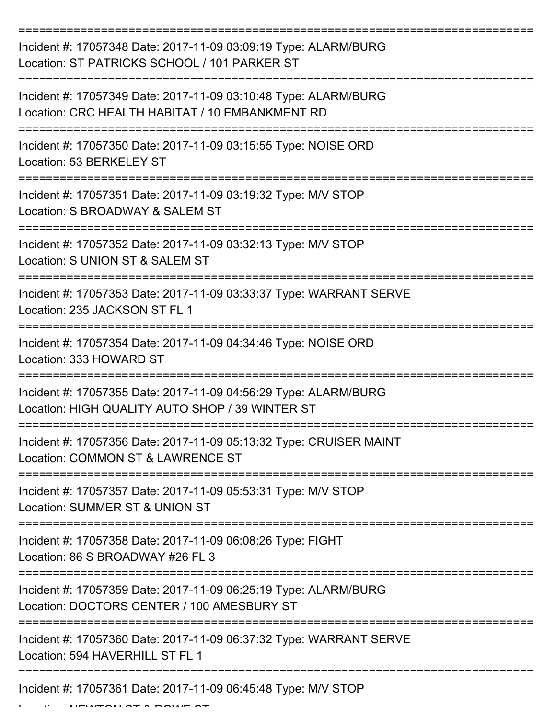| Incident #: 17057348 Date: 2017-11-09 03:09:19 Type: ALARM/BURG<br>Location: ST PATRICKS SCHOOL / 101 PARKER ST    |
|--------------------------------------------------------------------------------------------------------------------|
| Incident #: 17057349 Date: 2017-11-09 03:10:48 Type: ALARM/BURG<br>Location: CRC HEALTH HABITAT / 10 EMBANKMENT RD |
| Incident #: 17057350 Date: 2017-11-09 03:15:55 Type: NOISE ORD<br>Location: 53 BERKELEY ST                         |
| Incident #: 17057351 Date: 2017-11-09 03:19:32 Type: M/V STOP<br>Location: S BROADWAY & SALEM ST                   |
| Incident #: 17057352 Date: 2017-11-09 03:32:13 Type: M/V STOP<br>Location: S UNION ST & SALEM ST                   |
| Incident #: 17057353 Date: 2017-11-09 03:33:37 Type: WARRANT SERVE<br>Location: 235 JACKSON ST FL 1                |
| Incident #: 17057354 Date: 2017-11-09 04:34:46 Type: NOISE ORD<br>Location: 333 HOWARD ST                          |
| Incident #: 17057355 Date: 2017-11-09 04:56:29 Type: ALARM/BURG<br>Location: HIGH QUALITY AUTO SHOP / 39 WINTER ST |
| Incident #: 17057356 Date: 2017-11-09 05:13:32 Type: CRUISER MAINT<br>Location: COMMON ST & LAWRENCE ST            |
| Incident #: 17057357 Date: 2017-11-09 05:53:31 Type: M/V STOP<br><b>Location: SUMMER ST &amp; UNION ST</b>         |
| Incident #: 17057358 Date: 2017-11-09 06:08:26 Type: FIGHT<br>Location: 86 S BROADWAY #26 FL 3                     |
| Incident #: 17057359 Date: 2017-11-09 06:25:19 Type: ALARM/BURG<br>Location: DOCTORS CENTER / 100 AMESBURY ST      |
| Incident #: 17057360 Date: 2017-11-09 06:37:32 Type: WARRANT SERVE<br>Location: 594 HAVERHILL ST FL 1              |
| Incident #: 17057361 Date: 2017-11-09 06:45:48 Type: M/V STOP                                                      |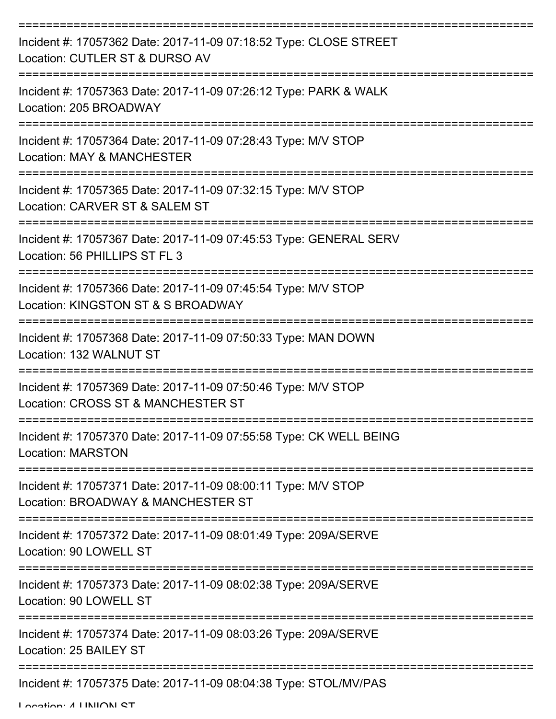| Incident #: 17057362 Date: 2017-11-09 07:18:52 Type: CLOSE STREET<br>Location: CUTLER ST & DURSO AV                       |
|---------------------------------------------------------------------------------------------------------------------------|
| Incident #: 17057363 Date: 2017-11-09 07:26:12 Type: PARK & WALK<br>Location: 205 BROADWAY                                |
| Incident #: 17057364 Date: 2017-11-09 07:28:43 Type: M/V STOP<br>Location: MAY & MANCHESTER                               |
| Incident #: 17057365 Date: 2017-11-09 07:32:15 Type: M/V STOP<br>Location: CARVER ST & SALEM ST                           |
| Incident #: 17057367 Date: 2017-11-09 07:45:53 Type: GENERAL SERV<br>Location: 56 PHILLIPS ST FL 3                        |
| :=================<br>Incident #: 17057366 Date: 2017-11-09 07:45:54 Type: M/V STOP<br>Location: KINGSTON ST & S BROADWAY |
| Incident #: 17057368 Date: 2017-11-09 07:50:33 Type: MAN DOWN<br>Location: 132 WALNUT ST                                  |
| Incident #: 17057369 Date: 2017-11-09 07:50:46 Type: M/V STOP<br>Location: CROSS ST & MANCHESTER ST                       |
| Incident #: 17057370 Date: 2017-11-09 07:55:58 Type: CK WELL BEING<br><b>Location: MARSTON</b>                            |
| Incident #: 17057371 Date: 2017-11-09 08:00:11 Type: M/V STOP<br>Location: BROADWAY & MANCHESTER ST                       |
| Incident #: 17057372 Date: 2017-11-09 08:01:49 Type: 209A/SERVE<br>Location: 90 LOWELL ST                                 |
| Incident #: 17057373 Date: 2017-11-09 08:02:38 Type: 209A/SERVE<br>Location: 90 LOWELL ST                                 |
| Incident #: 17057374 Date: 2017-11-09 08:03:26 Type: 209A/SERVE<br>Location: 25 BAILEY ST                                 |
| Incident #: 17057375 Date: 2017-11-09 08:04:38 Type: STOL/MV/PAS                                                          |

Location: 4 LINIIONI CT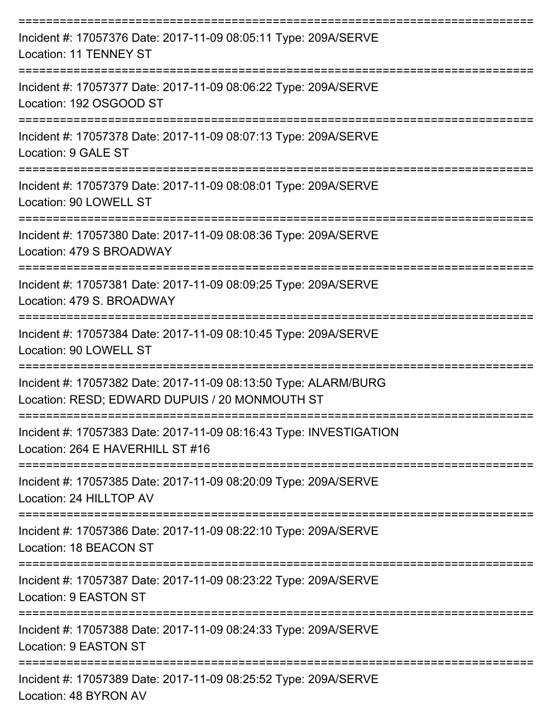| Incident #: 17057376 Date: 2017-11-09 08:05:11 Type: 209A/SERVE<br><b>Location: 11 TENNEY ST</b>                            |
|-----------------------------------------------------------------------------------------------------------------------------|
| Incident #: 17057377 Date: 2017-11-09 08:06:22 Type: 209A/SERVE<br>Location: 192 OSGOOD ST                                  |
| Incident #: 17057378 Date: 2017-11-09 08:07:13 Type: 209A/SERVE<br>Location: 9 GALE ST                                      |
| Incident #: 17057379 Date: 2017-11-09 08:08:01 Type: 209A/SERVE<br>Location: 90 LOWELL ST                                   |
| Incident #: 17057380 Date: 2017-11-09 08:08:36 Type: 209A/SERVE<br>Location: 479 S BROADWAY                                 |
| Incident #: 17057381 Date: 2017-11-09 08:09:25 Type: 209A/SERVE<br>Location: 479 S. BROADWAY                                |
| Incident #: 17057384 Date: 2017-11-09 08:10:45 Type: 209A/SERVE<br>Location: 90 LOWELL ST                                   |
| Incident #: 17057382 Date: 2017-11-09 08:13:50 Type: ALARM/BURG<br>Location: RESD; EDWARD DUPUIS / 20 MONMOUTH ST           |
| =================<br>Incident #: 17057383 Date: 2017-11-09 08:16:43 Type: INVESTIGATION<br>Location: 264 E HAVERHILL ST #16 |
| Incident #: 17057385 Date: 2017-11-09 08:20:09 Type: 209A/SERVE<br>Location: 24 HILLTOP AV                                  |
| Incident #: 17057386 Date: 2017-11-09 08:22:10 Type: 209A/SERVE<br>Location: 18 BEACON ST                                   |
| Incident #: 17057387 Date: 2017-11-09 08:23:22 Type: 209A/SERVE<br>Location: 9 EASTON ST                                    |
| Incident #: 17057388 Date: 2017-11-09 08:24:33 Type: 209A/SERVE<br><b>Location: 9 EASTON ST</b>                             |
| Incident #: 17057389 Date: 2017-11-09 08:25:52 Type: 209A/SERVE<br>Location: 48 BYRON AV                                    |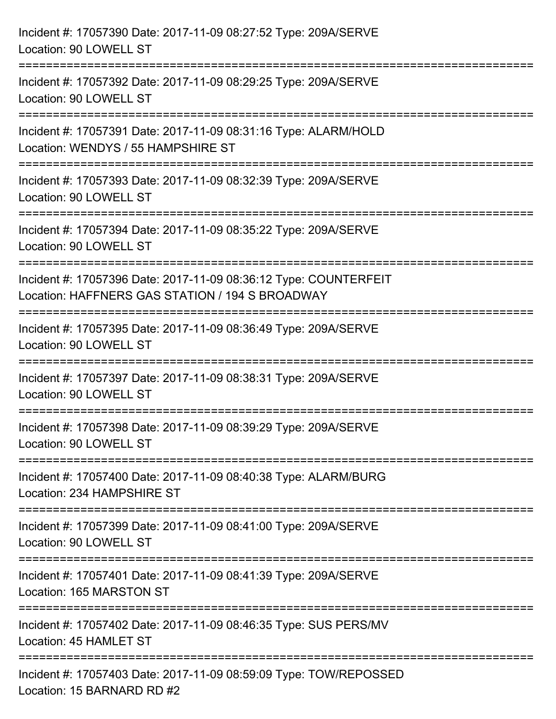| Incident #: 17057390 Date: 2017-11-09 08:27:52 Type: 209A/SERVE<br>Location: 90 LOWELL ST                                                       |
|-------------------------------------------------------------------------------------------------------------------------------------------------|
| Incident #: 17057392 Date: 2017-11-09 08:29:25 Type: 209A/SERVE<br>Location: 90 LOWELL ST                                                       |
| Incident #: 17057391 Date: 2017-11-09 08:31:16 Type: ALARM/HOLD<br>Location: WENDYS / 55 HAMPSHIRE ST<br>========================               |
| Incident #: 17057393 Date: 2017-11-09 08:32:39 Type: 209A/SERVE<br>Location: 90 LOWELL ST                                                       |
| Incident #: 17057394 Date: 2017-11-09 08:35:22 Type: 209A/SERVE<br>Location: 90 LOWELL ST<br>==================================                 |
| Incident #: 17057396 Date: 2017-11-09 08:36:12 Type: COUNTERFEIT<br>Location: HAFFNERS GAS STATION / 194 S BROADWAY<br>======================== |
| Incident #: 17057395 Date: 2017-11-09 08:36:49 Type: 209A/SERVE<br>Location: 90 LOWELL ST                                                       |
| Incident #: 17057397 Date: 2017-11-09 08:38:31 Type: 209A/SERVE<br>Location: 90 LOWELL ST                                                       |
| Incident #: 17057398 Date: 2017-11-09 08:39:29 Type: 209A/SERVE<br>Location: 90 LOWELL ST                                                       |
| Incident #: 17057400 Date: 2017-11-09 08:40:38 Type: ALARM/BURG<br>Location: 234 HAMPSHIRE ST                                                   |
| Incident #: 17057399 Date: 2017-11-09 08:41:00 Type: 209A/SERVE<br>Location: 90 LOWELL ST                                                       |
| Incident #: 17057401 Date: 2017-11-09 08:41:39 Type: 209A/SERVE<br>Location: 165 MARSTON ST                                                     |
| Incident #: 17057402 Date: 2017-11-09 08:46:35 Type: SUS PERS/MV<br>Location: 45 HAMLET ST                                                      |
| Incident #: 17057403 Date: 2017-11-09 08:59:09 Type: TOW/REPOSSED<br>Location: 15 BARNARD RD #2                                                 |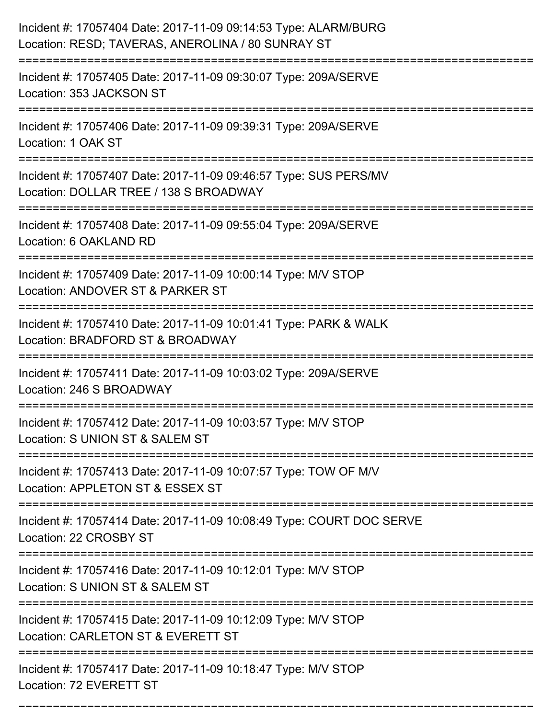| Incident #: 17057404 Date: 2017-11-09 09:14:53 Type: ALARM/BURG<br>Location: RESD; TAVERAS, ANEROLINA / 80 SUNRAY ST |
|----------------------------------------------------------------------------------------------------------------------|
| Incident #: 17057405 Date: 2017-11-09 09:30:07 Type: 209A/SERVE<br>Location: 353 JACKSON ST                          |
| Incident #: 17057406 Date: 2017-11-09 09:39:31 Type: 209A/SERVE<br>Location: 1 OAK ST                                |
| Incident #: 17057407 Date: 2017-11-09 09:46:57 Type: SUS PERS/MV<br>Location: DOLLAR TREE / 138 S BROADWAY           |
| Incident #: 17057408 Date: 2017-11-09 09:55:04 Type: 209A/SERVE<br>Location: 6 OAKLAND RD                            |
| Incident #: 17057409 Date: 2017-11-09 10:00:14 Type: M/V STOP<br>Location: ANDOVER ST & PARKER ST                    |
| Incident #: 17057410 Date: 2017-11-09 10:01:41 Type: PARK & WALK<br>Location: BRADFORD ST & BROADWAY                 |
| Incident #: 17057411 Date: 2017-11-09 10:03:02 Type: 209A/SERVE<br>Location: 246 S BROADWAY                          |
| Incident #: 17057412 Date: 2017-11-09 10:03:57 Type: M/V STOP<br>Location: S UNION ST & SALEM ST                     |
| Incident #: 17057413 Date: 2017-11-09 10:07:57 Type: TOW OF M/V<br>Location: APPLETON ST & ESSEX ST                  |
| Incident #: 17057414 Date: 2017-11-09 10:08:49 Type: COURT DOC SERVE<br>Location: 22 CROSBY ST                       |
| Incident #: 17057416 Date: 2017-11-09 10:12:01 Type: M/V STOP<br>Location: S UNION ST & SALEM ST                     |
| Incident #: 17057415 Date: 2017-11-09 10:12:09 Type: M/V STOP<br>Location: CARLETON ST & EVERETT ST                  |
| Incident #: 17057417 Date: 2017-11-09 10:18:47 Type: M/V STOP<br>Location: 72 EVERETT ST                             |

===========================================================================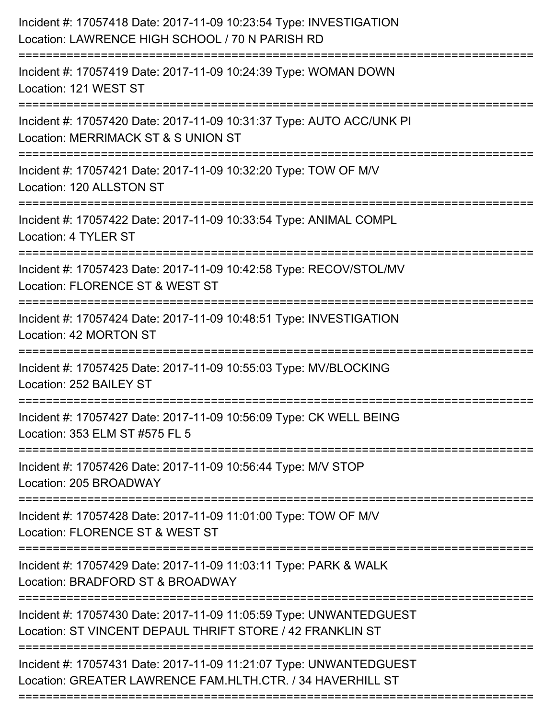| Incident #: 17057418 Date: 2017-11-09 10:23:54 Type: INVESTIGATION<br>Location: LAWRENCE HIGH SCHOOL / 70 N PARISH RD                                               |
|---------------------------------------------------------------------------------------------------------------------------------------------------------------------|
| Incident #: 17057419 Date: 2017-11-09 10:24:39 Type: WOMAN DOWN<br>Location: 121 WEST ST                                                                            |
| Incident #: 17057420 Date: 2017-11-09 10:31:37 Type: AUTO ACC/UNK PI<br>Location: MERRIMACK ST & S UNION ST<br>===========================                          |
| Incident #: 17057421 Date: 2017-11-09 10:32:20 Type: TOW OF M/V<br>Location: 120 ALLSTON ST                                                                         |
| Incident #: 17057422 Date: 2017-11-09 10:33:54 Type: ANIMAL COMPL<br>Location: 4 TYLER ST                                                                           |
| Incident #: 17057423 Date: 2017-11-09 10:42:58 Type: RECOV/STOL/MV<br>Location: FLORENCE ST & WEST ST                                                               |
| Incident #: 17057424 Date: 2017-11-09 10:48:51 Type: INVESTIGATION<br>Location: 42 MORTON ST                                                                        |
| Incident #: 17057425 Date: 2017-11-09 10:55:03 Type: MV/BLOCKING<br>Location: 252 BAILEY ST                                                                         |
| Incident #: 17057427 Date: 2017-11-09 10:56:09 Type: CK WELL BEING<br>Location: 353 ELM ST #575 FL 5                                                                |
| Incident #: 17057426 Date: 2017-11-09 10:56:44 Type: M/V STOP<br>Location: 205 BROADWAY                                                                             |
| Incident #: 17057428 Date: 2017-11-09 11:01:00 Type: TOW OF M/V<br>Location: FLORENCE ST & WEST ST                                                                  |
| Incident #: 17057429 Date: 2017-11-09 11:03:11 Type: PARK & WALK<br>Location: BRADFORD ST & BROADWAY                                                                |
| Incident #: 17057430 Date: 2017-11-09 11:05:59 Type: UNWANTEDGUEST<br>Location: ST VINCENT DEPAUL THRIFT STORE / 42 FRANKLIN ST                                     |
| ===============================<br>Incident #: 17057431 Date: 2017-11-09 11:21:07 Type: UNWANTEDGUEST<br>Location: GREATER LAWRENCE FAM.HLTH.CTR. / 34 HAVERHILL ST |
|                                                                                                                                                                     |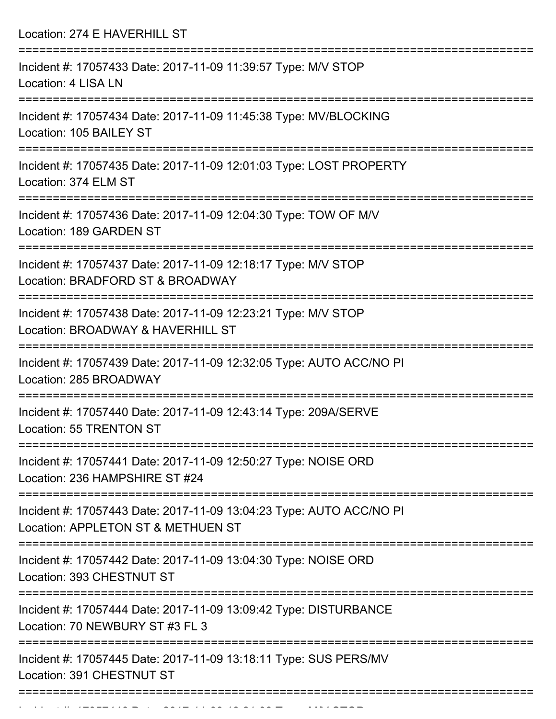| Location: 274 E HAVERHILL ST                                                                                            |
|-------------------------------------------------------------------------------------------------------------------------|
| Incident #: 17057433 Date: 2017-11-09 11:39:57 Type: M/V STOP<br>Location: 4 LISA LN                                    |
| Incident #: 17057434 Date: 2017-11-09 11:45:38 Type: MV/BLOCKING<br>Location: 105 BAILEY ST                             |
| Incident #: 17057435 Date: 2017-11-09 12:01:03 Type: LOST PROPERTY<br>Location: 374 ELM ST                              |
| Incident #: 17057436 Date: 2017-11-09 12:04:30 Type: TOW OF M/V<br>Location: 189 GARDEN ST                              |
| Incident #: 17057437 Date: 2017-11-09 12:18:17 Type: M/V STOP<br>Location: BRADFORD ST & BROADWAY                       |
| Incident #: 17057438 Date: 2017-11-09 12:23:21 Type: M/V STOP<br>Location: BROADWAY & HAVERHILL ST<br>================= |
| Incident #: 17057439 Date: 2017-11-09 12:32:05 Type: AUTO ACC/NO PI<br>Location: 285 BROADWAY                           |
| Incident #: 17057440 Date: 2017-11-09 12:43:14 Type: 209A/SERVE<br>Location: 55 TRENTON ST                              |
| Incident #: 17057441 Date: 2017-11-09 12:50:27 Type: NOISE ORD<br>Location: 236 HAMPSHIRE ST #24                        |
| Incident #: 17057443 Date: 2017-11-09 13:04:23 Type: AUTO ACC/NO PI<br>Location: APPLETON ST & METHUEN ST               |
| Incident #: 17057442 Date: 2017-11-09 13:04:30 Type: NOISE ORD<br>Location: 393 CHESTNUT ST                             |
| Incident #: 17057444 Date: 2017-11-09 13:09:42 Type: DISTURBANCE<br>Location: 70 NEWBURY ST #3 FL 3                     |
| Incident #: 17057445 Date: 2017-11-09 13:18:11 Type: SUS PERS/MV<br>Location: 391 CHESTNUT ST                           |

Incident #: 17057446 Date: 2017 11 09 13:21:03 Type: M/V STOP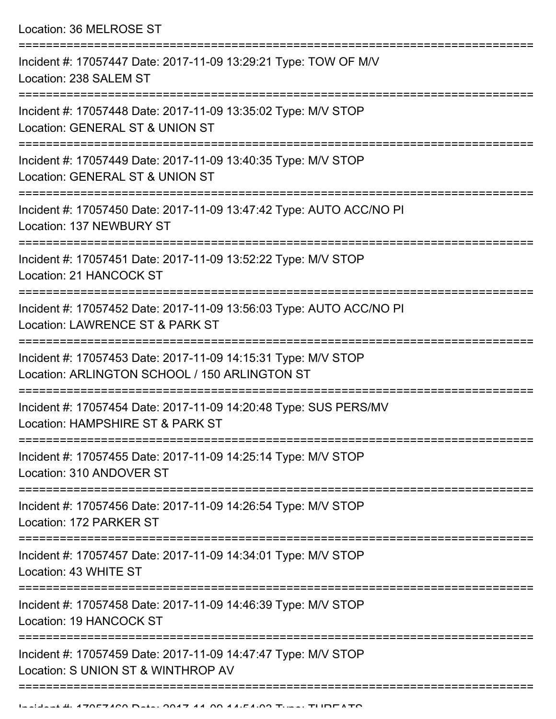Location: 36 MELROSE ST

| Incident #: 17057447 Date: 2017-11-09 13:29:21 Type: TOW OF M/V<br>Location: 238 SALEM ST                        |
|------------------------------------------------------------------------------------------------------------------|
| Incident #: 17057448 Date: 2017-11-09 13:35:02 Type: M/V STOP<br>Location: GENERAL ST & UNION ST                 |
| Incident #: 17057449 Date: 2017-11-09 13:40:35 Type: M/V STOP<br>Location: GENERAL ST & UNION ST                 |
| Incident #: 17057450 Date: 2017-11-09 13:47:42 Type: AUTO ACC/NO PI<br>Location: 137 NEWBURY ST                  |
| Incident #: 17057451 Date: 2017-11-09 13:52:22 Type: M/V STOP<br>Location: 21 HANCOCK ST                         |
| Incident #: 17057452 Date: 2017-11-09 13:56:03 Type: AUTO ACC/NO PI<br>Location: LAWRENCE ST & PARK ST           |
| Incident #: 17057453 Date: 2017-11-09 14:15:31 Type: M/V STOP<br>Location: ARLINGTON SCHOOL / 150 ARLINGTON ST   |
| Incident #: 17057454 Date: 2017-11-09 14:20:48 Type: SUS PERS/MV<br>Location: HAMPSHIRE ST & PARK ST             |
| Incident #: 17057455 Date: 2017-11-09 14:25:14 Type: M/V STOP<br>Location: 310 ANDOVER ST                        |
| Incident #: 17057456 Date: 2017-11-09 14:26:54 Type: M/V STOP<br>Location: 172 PARKER ST                         |
| Incident #: 17057457 Date: 2017-11-09 14:34:01 Type: M/V STOP<br>Location: 43 WHITE ST                           |
| :===================<br>Incident #: 17057458 Date: 2017-11-09 14:46:39 Type: M/V STOP<br>Location: 19 HANCOCK ST |
| Incident #: 17057459 Date: 2017-11-09 14:47:47 Type: M/V STOP<br>Location: S UNION ST & WINTHROP AV              |
|                                                                                                                  |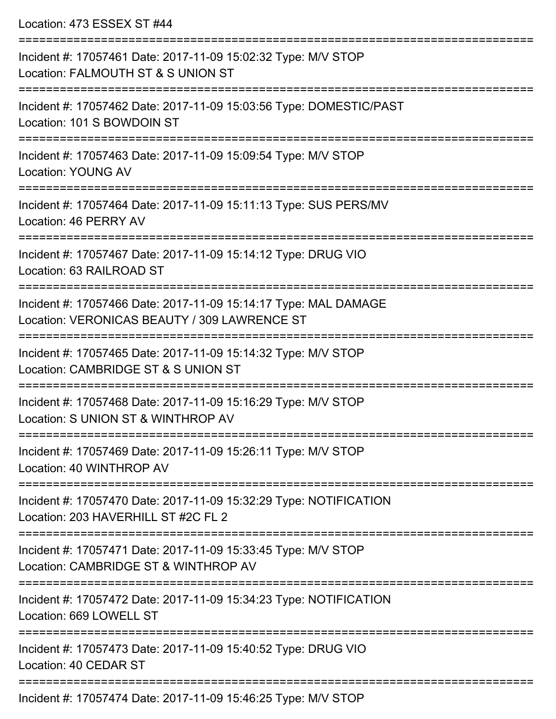Location: 473 ESSEX ST #44

| Incident #: 17057461 Date: 2017-11-09 15:02:32 Type: M/V STOP<br>Location: FALMOUTH ST & S UNION ST                                   |
|---------------------------------------------------------------------------------------------------------------------------------------|
| Incident #: 17057462 Date: 2017-11-09 15:03:56 Type: DOMESTIC/PAST<br>Location: 101 S BOWDOIN ST                                      |
| Incident #: 17057463 Date: 2017-11-09 15:09:54 Type: M/V STOP<br><b>Location: YOUNG AV</b>                                            |
| Incident #: 17057464 Date: 2017-11-09 15:11:13 Type: SUS PERS/MV<br>Location: 46 PERRY AV                                             |
| Incident #: 17057467 Date: 2017-11-09 15:14:12 Type: DRUG VIO<br>Location: 63 RAILROAD ST                                             |
| Incident #: 17057466 Date: 2017-11-09 15:14:17 Type: MAL DAMAGE<br>Location: VERONICAS BEAUTY / 309 LAWRENCE ST<br>.----------------- |
| Incident #: 17057465 Date: 2017-11-09 15:14:32 Type: M/V STOP<br>Location: CAMBRIDGE ST & S UNION ST                                  |
| Incident #: 17057468 Date: 2017-11-09 15:16:29 Type: M/V STOP<br>Location: S UNION ST & WINTHROP AV                                   |
| Incident #: 17057469 Date: 2017-11-09 15:26:11 Type: M/V STOP<br>Location: 40 WINTHROP AV                                             |
| Incident #: 17057470 Date: 2017-11-09 15:32:29 Type: NOTIFICATION<br>Location: 203 HAVERHILL ST #2C FL 2                              |
| Incident #: 17057471 Date: 2017-11-09 15:33:45 Type: M/V STOP<br>Location: CAMBRIDGE ST & WINTHROP AV                                 |
| Incident #: 17057472 Date: 2017-11-09 15:34:23 Type: NOTIFICATION<br>Location: 669 LOWELL ST                                          |
| Incident #: 17057473 Date: 2017-11-09 15:40:52 Type: DRUG VIO<br>Location: 40 CEDAR ST                                                |
| $D - 1 - 00474400454005$                                                                                                              |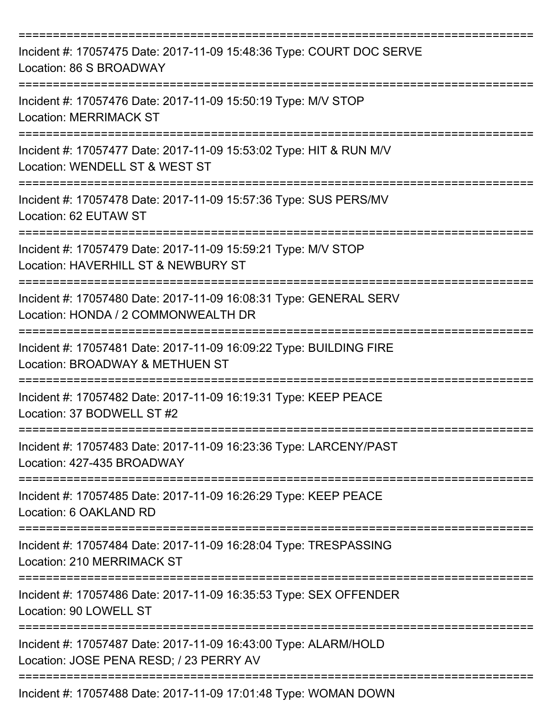| Incident #: 17057475 Date: 2017-11-09 15:48:36 Type: COURT DOC SERVE<br>Location: 86 S BROADWAY            |
|------------------------------------------------------------------------------------------------------------|
| Incident #: 17057476 Date: 2017-11-09 15:50:19 Type: M/V STOP<br><b>Location: MERRIMACK ST</b>             |
| Incident #: 17057477 Date: 2017-11-09 15:53:02 Type: HIT & RUN M/V<br>Location: WENDELL ST & WEST ST       |
| Incident #: 17057478 Date: 2017-11-09 15:57:36 Type: SUS PERS/MV<br>Location: 62 EUTAW ST                  |
| Incident #: 17057479 Date: 2017-11-09 15:59:21 Type: M/V STOP<br>Location: HAVERHILL ST & NEWBURY ST       |
| Incident #: 17057480 Date: 2017-11-09 16:08:31 Type: GENERAL SERV<br>Location: HONDA / 2 COMMONWEALTH DR   |
| Incident #: 17057481 Date: 2017-11-09 16:09:22 Type: BUILDING FIRE<br>Location: BROADWAY & METHUEN ST      |
| Incident #: 17057482 Date: 2017-11-09 16:19:31 Type: KEEP PEACE<br>Location: 37 BODWELL ST #2              |
| Incident #: 17057483 Date: 2017-11-09 16:23:36 Type: LARCENY/PAST<br>Location: 427-435 BROADWAY            |
| Incident #: 17057485 Date: 2017-11-09 16:26:29 Type: KEEP PEACE<br>Location: 6 OAKLAND RD                  |
| Incident #: 17057484 Date: 2017-11-09 16:28:04 Type: TRESPASSING<br>Location: 210 MERRIMACK ST             |
| Incident #: 17057486 Date: 2017-11-09 16:35:53 Type: SEX OFFENDER<br>Location: 90 LOWELL ST                |
| Incident #: 17057487 Date: 2017-11-09 16:43:00 Type: ALARM/HOLD<br>Location: JOSE PENA RESD; / 23 PERRY AV |
| Incident #: 17057488 Date: 2017-11-09 17:01:48 Type: WOMAN DOWN                                            |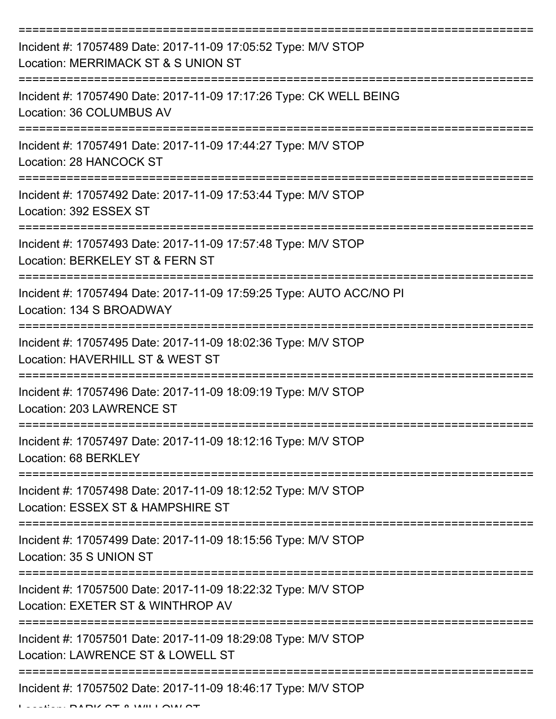| Incident #: 17057489 Date: 2017-11-09 17:05:52 Type: M/V STOP<br>Location: MERRIMACK ST & S UNION ST |
|------------------------------------------------------------------------------------------------------|
| Incident #: 17057490 Date: 2017-11-09 17:17:26 Type: CK WELL BEING<br>Location: 36 COLUMBUS AV       |
| Incident #: 17057491 Date: 2017-11-09 17:44:27 Type: M/V STOP<br>Location: 28 HANCOCK ST             |
| Incident #: 17057492 Date: 2017-11-09 17:53:44 Type: M/V STOP<br>Location: 392 ESSEX ST              |
| Incident #: 17057493 Date: 2017-11-09 17:57:48 Type: M/V STOP<br>Location: BERKELEY ST & FERN ST     |
| Incident #: 17057494 Date: 2017-11-09 17:59:25 Type: AUTO ACC/NO PI<br>Location: 134 S BROADWAY      |
| Incident #: 17057495 Date: 2017-11-09 18:02:36 Type: M/V STOP<br>Location: HAVERHILL ST & WEST ST    |
| Incident #: 17057496 Date: 2017-11-09 18:09:19 Type: M/V STOP<br>Location: 203 LAWRENCE ST           |
| Incident #: 17057497 Date: 2017-11-09 18:12:16 Type: M/V STOP<br>Location: 68 BERKLEY                |
| Incident #: 17057498 Date: 2017-11-09 18:12:52 Type: M/V STOP<br>Location: ESSEX ST & HAMPSHIRE ST   |
| Incident #: 17057499 Date: 2017-11-09 18:15:56 Type: M/V STOP<br>Location: 35 S UNION ST             |
| Incident #: 17057500 Date: 2017-11-09 18:22:32 Type: M/V STOP<br>Location: EXETER ST & WINTHROP AV   |
| Incident #: 17057501 Date: 2017-11-09 18:29:08 Type: M/V STOP<br>Location: LAWRENCE ST & LOWELL ST   |
| Incident #: 17057502 Date: 2017-11-09 18:46:17 Type: M/V STOP                                        |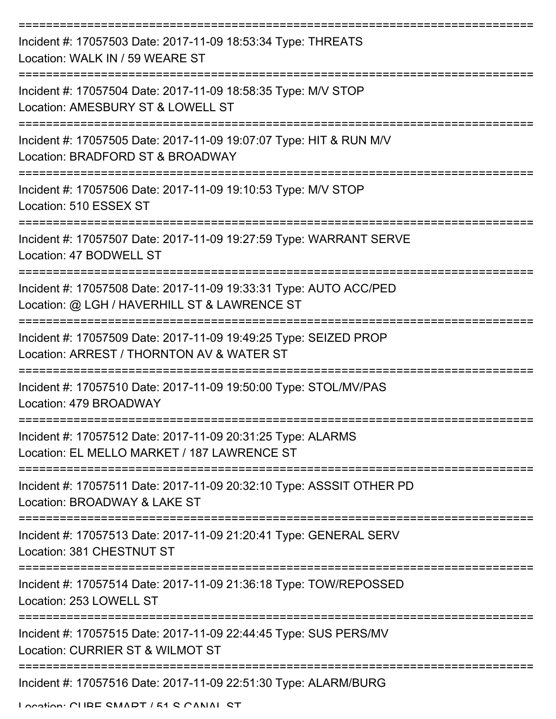| Incident #: 17057503 Date: 2017-11-09 18:53:34 Type: THREATS<br>Location: WALK IN / 59 WEARE ST                                    |
|------------------------------------------------------------------------------------------------------------------------------------|
| Incident #: 17057504 Date: 2017-11-09 18:58:35 Type: M/V STOP<br>Location: AMESBURY ST & LOWELL ST                                 |
| Incident #: 17057505 Date: 2017-11-09 19:07:07 Type: HIT & RUN M/V<br>Location: BRADFORD ST & BROADWAY                             |
| Incident #: 17057506 Date: 2017-11-09 19:10:53 Type: M/V STOP<br>Location: 510 ESSEX ST                                            |
| Incident #: 17057507 Date: 2017-11-09 19:27:59 Type: WARRANT SERVE<br>Location: 47 BODWELL ST                                      |
| Incident #: 17057508 Date: 2017-11-09 19:33:31 Type: AUTO ACC/PED<br>Location: @ LGH / HAVERHILL ST & LAWRENCE ST                  |
| Incident #: 17057509 Date: 2017-11-09 19:49:25 Type: SEIZED PROP<br>Location: ARREST / THORNTON AV & WATER ST                      |
| Incident #: 17057510 Date: 2017-11-09 19:50:00 Type: STOL/MV/PAS<br>Location: 479 BROADWAY                                         |
| --------------------<br>Incident #: 17057512 Date: 2017-11-09 20:31:25 Type: ALARMS<br>Location: EL MELLO MARKET / 187 LAWRENCE ST |
| Incident #: 17057511 Date: 2017-11-09 20:32:10 Type: ASSSIT OTHER PD<br>Location: BROADWAY & LAKE ST                               |
| Incident #: 17057513 Date: 2017-11-09 21:20:41 Type: GENERAL SERV<br>Location: 381 CHESTNUT ST                                     |
| Incident #: 17057514 Date: 2017-11-09 21:36:18 Type: TOW/REPOSSED<br>Location: 253 LOWELL ST                                       |
| Incident #: 17057515 Date: 2017-11-09 22:44:45 Type: SUS PERS/MV<br>Location: CURRIER ST & WILMOT ST                               |
| Incident #: 17057516 Date: 2017-11-09 22:51:30 Type: ALARM/BURG                                                                    |

Location: CUBE SMART / 51 S CANAL ST